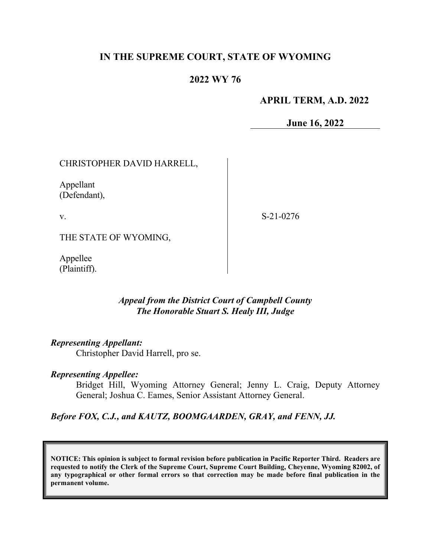## **IN THE SUPREME COURT, STATE OF WYOMING**

### **2022 WY 76**

#### **APRIL TERM, A.D. 2022**

**June 16, 2022**

CHRISTOPHER DAVID HARRELL,

Appellant (Defendant),

v.

S-21-0276

THE STATE OF WYOMING,

Appellee (Plaintiff).

### *Appeal from the District Court of Campbell County The Honorable Stuart S. Healy III, Judge*

#### *Representing Appellant:*

Christopher David Harrell, pro se.

#### *Representing Appellee:*

Bridget Hill, Wyoming Attorney General; Jenny L. Craig, Deputy Attorney General; Joshua C. Eames, Senior Assistant Attorney General.

#### *Before FOX, C.J., and KAUTZ, BOOMGAARDEN, GRAY, and FENN, JJ.*

**NOTICE: This opinion is subject to formal revision before publication in Pacific Reporter Third. Readers are requested to notify the Clerk of the Supreme Court, Supreme Court Building, Cheyenne, Wyoming 82002, of any typographical or other formal errors so that correction may be made before final publication in the permanent volume.**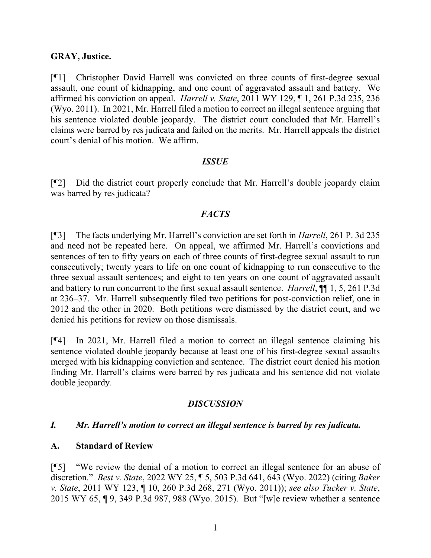### **GRAY, Justice.**

[¶1] Christopher David Harrell was convicted on three counts of first-degree sexual assault, one count of kidnapping, and one count of aggravated assault and battery. We affirmed his conviction on appeal. *Harrell v. State*, 2011 WY 129, ¶ 1, 261 P.3d 235, 236 (Wyo. 2011). In 2021, Mr. Harrell filed a motion to correct an illegal sentence arguing that his sentence violated double jeopardy. The district court concluded that Mr. Harrell's claims were barred by res judicata and failed on the merits. Mr. Harrell appeals the district court's denial of his motion. We affirm.

### *ISSUE*

[¶2] Did the district court properly conclude that Mr. Harrell's double jeopardy claim was barred by res judicata?

## *FACTS*

[¶3] The facts underlying Mr. Harrell's conviction are set forth in *Harrell*, 261 P. 3d 235 and need not be repeated here. On appeal, we affirmed Mr. Harrell's convictions and sentences of ten to fifty years on each of three counts of first-degree sexual assault to run consecutively; twenty years to life on one count of kidnapping to run consecutive to the three sexual assault sentences; and eight to ten years on one count of aggravated assault and battery to run concurrent to the first sexual assault sentence. *Harrell*, ¶¶ 1, 5, 261 P.3d at 236–37. Mr. Harrell subsequently filed two petitions for post-conviction relief, one in 2012 and the other in 2020. Both petitions were dismissed by the district court, and we denied his petitions for review on those dismissals.

[¶4] In 2021, Mr. Harrell filed a motion to correct an illegal sentence claiming his sentence violated double jeopardy because at least one of his first-degree sexual assaults merged with his kidnapping conviction and sentence. The district court denied his motion finding Mr. Harrell's claims were barred by res judicata and his sentence did not violate double jeopardy.

## *DISCUSSION*

## *I. Mr. Harrell's motion to correct an illegal sentence is barred by res judicata.*

## **A. Standard of Review**

[¶5] "We review the denial of a motion to correct an illegal sentence for an abuse of discretion." *Best v. State*, 2022 WY 25, ¶ 5, 503 P.3d 641, 643 (Wyo. 2022) (citing *Baker v. State*, 2011 WY 123, ¶ 10, 260 P.3d 268, 271 (Wyo. 2011)); *see also Tucker v. State*, 2015 WY 65, ¶ 9, 349 P.3d 987, 988 (Wyo. 2015). But "[w]e review whether a sentence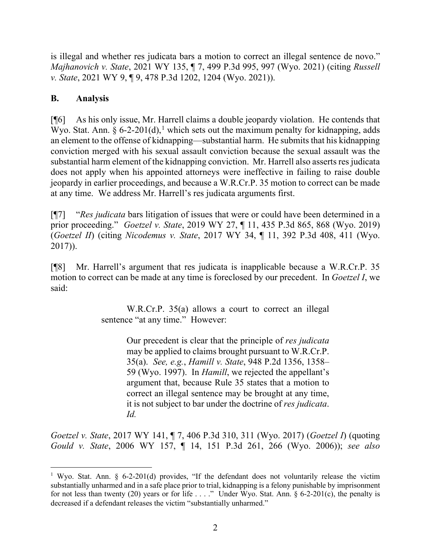is illegal and whether res judicata bars a motion to correct an illegal sentence de novo." *Majhanovich v. State*, 2021 WY 135, ¶ 7, 499 P.3d 995, 997 (Wyo. 2021) (citing *Russell v. State*, 2021 WY 9, ¶ 9, 478 P.3d 1202, 1204 (Wyo. 2021)).

# **B. Analysis**

[¶6] As his only issue, Mr. Harrell claims a double jeopardy violation. He contends that Wyo. Stat. Ann.  $\S 6$ -2-20[1](#page-2-0)(d),<sup>1</sup> which sets out the maximum penalty for kidnapping, adds an element to the offense of kidnapping—substantial harm. He submits that his kidnapping conviction merged with his sexual assault conviction because the sexual assault was the substantial harm element of the kidnapping conviction. Mr. Harrell also asserts res judicata does not apply when his appointed attorneys were ineffective in failing to raise double jeopardy in earlier proceedings, and because a W.R.Cr.P. 35 motion to correct can be made at any time. We address Mr. Harrell's res judicata arguments first.

[¶7] "*Res judicata* bars litigation of issues that were or could have been determined in a prior proceeding." *Goetzel v. State*, 2019 WY 27, ¶ 11, 435 P.3d 865, 868 (Wyo. 2019) (*Goetzel II*) (citing *Nicodemus v. State*, 2017 WY 34, ¶ 11, 392 P.3d 408, 411 (Wyo. 2017)).

[¶8] Mr. Harrell's argument that res judicata is inapplicable because a W.R.Cr.P. 35 motion to correct can be made at any time is foreclosed by our precedent. In *Goetzel I*, we said:

> W.R.Cr.P. 35(a) allows a court to correct an illegal sentence "at any time." However:

> > Our precedent is clear that the principle of *res judicata* may be applied to claims brought pursuant to W.R.Cr.P. 35(a). *See, e.g.*, *Hamill v. State*, 948 P.2d 1356, 1358– 59 (Wyo. 1997). In *Hamill*, we rejected the appellant's argument that, because Rule 35 states that a motion to correct an illegal sentence may be brought at any time, it is not subject to bar under the doctrine of *res judicata*. *Id.*

*Goetzel v. State*, 2017 WY 141, ¶ 7, 406 P.3d 310, 311 (Wyo. 2017) (*Goetzel I*) (quoting *Gould v. State*, 2006 WY 157, ¶ 14, 151 P.3d 261, 266 (Wyo. 2006)); *see also* 

<span id="page-2-0"></span><sup>&</sup>lt;sup>1</sup> Wyo. Stat. Ann. § 6-2-201(d) provides, "If the defendant does not voluntarily release the victim substantially unharmed and in a safe place prior to trial, kidnapping is a felony punishable by imprisonment for not less than twenty (20) years or for life . . . ." Under Wyo. Stat. Ann. § 6-2-201(c), the penalty is decreased if a defendant releases the victim "substantially unharmed."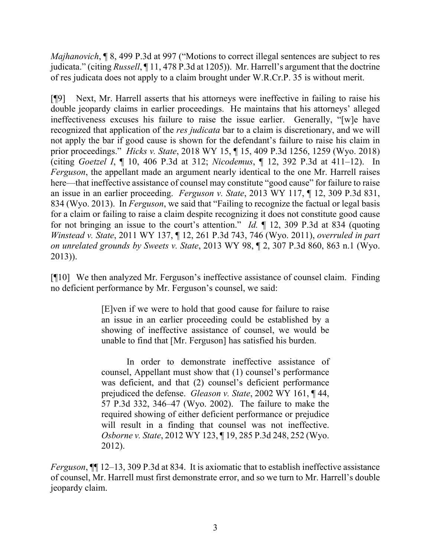*Majhanovich*, **[8, 499 P.3d at 997 ("Motions to correct illegal sentences are subject to res** judicata." (citing *Russell*, ¶ 11, 478 P.3d at 1205)). Mr. Harrell's argument that the doctrine of res judicata does not apply to a claim brought under W.R.Cr.P. 35 is without merit.

[¶9] Next, Mr. Harrell asserts that his attorneys were ineffective in failing to raise his double jeopardy claims in earlier proceedings. He maintains that his attorneys' alleged ineffectiveness excuses his failure to raise the issue earlier. Generally, "[w]e have recognized that application of the *res judicata* bar to a claim is discretionary, and we will not apply the bar if good cause is shown for the defendant's failure to raise his claim in prior proceedings." *Hicks v. State*, 2018 WY 15, ¶ 15, 409 P.3d 1256, 1259 (Wyo. 2018) (citing *Goetzel I*, ¶ 10, 406 P.3d at 312; *Nicodemus*, ¶ 12, 392 P.3d at 411–12). In *Ferguson*, the appellant made an argument nearly identical to the one Mr. Harrell raises here—that ineffective assistance of counsel may constitute "good cause" for failure to raise an issue in an earlier proceeding. *Ferguson v. State*, 2013 WY 117, ¶ 12, 309 P.3d 831, 834 (Wyo. 2013). In *Ferguson*, we said that "Failing to recognize the factual or legal basis for a claim or failing to raise a claim despite recognizing it does not constitute good cause for not bringing an issue to the court's attention." *Id.* ¶ 12, 309 P.3d at 834 (quoting *Winstead v. State*, 2011 WY 137, ¶ 12, 261 P.3d 743, 746 (Wyo. 2011), *overruled in part on unrelated grounds by Sweets v. State*, 2013 WY 98, ¶ 2, 307 P.3d 860, 863 n.1 (Wyo. 2013)).

[¶10] We then analyzed Mr. Ferguson's ineffective assistance of counsel claim. Finding no deficient performance by Mr. Ferguson's counsel, we said:

> [E]ven if we were to hold that good cause for failure to raise an issue in an earlier proceeding could be established by a showing of ineffective assistance of counsel, we would be unable to find that [Mr. Ferguson] has satisfied his burden.

> In order to demonstrate ineffective assistance of counsel, Appellant must show that (1) counsel's performance was deficient, and that (2) counsel's deficient performance prejudiced the defense. *Gleason v. State*, 2002 WY 161, ¶ 44, 57 P.3d 332, 346–47 (Wyo. 2002). The failure to make the required showing of either deficient performance or prejudice will result in a finding that counsel was not ineffective. *Osborne v. State*, 2012 WY 123, ¶ 19, 285 P.3d 248, 252 (Wyo. 2012).

*Ferguson*, ¶¶ 12–13, 309 P.3d at 834. It is axiomatic that to establish ineffective assistance of counsel, Mr. Harrell must first demonstrate error, and so we turn to Mr. Harrell's double jeopardy claim.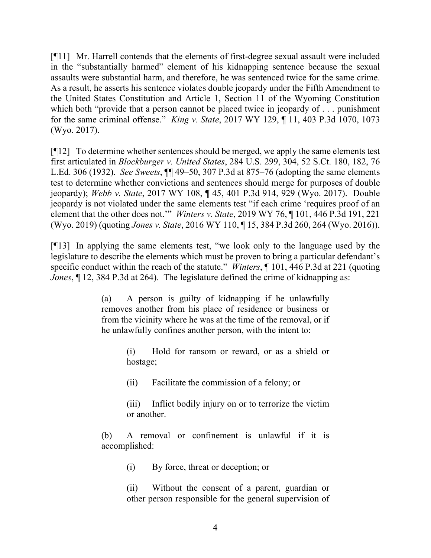[¶11] Mr. Harrell contends that the elements of first-degree sexual assault were included in the "substantially harmed" element of his kidnapping sentence because the sexual assaults were substantial harm, and therefore, he was sentenced twice for the same crime. As a result, he asserts his sentence violates double jeopardy under the Fifth Amendment to the United States Constitution and Article 1, Section 11 of the Wyoming Constitution which both "provide that a person cannot be placed twice in jeopardy of . . . punishment for the same criminal offense." *King v. State*, 2017 WY 129, ¶ 11, 403 P.3d 1070, 1073 (Wyo. 2017).

[¶12] To determine whether sentences should be merged, we apply the same elements test first articulated in *Blockburger v. United States*, 284 U.S. 299, 304, 52 S.Ct. 180, 182, 76 L.Ed. 306 (1932). *See Sweets*, ¶¶ 49–50, 307 P.3d at 875–76 (adopting the same elements test to determine whether convictions and sentences should merge for purposes of double jeopardy); *Webb v. State*, 2017 WY 108, ¶ 45, 401 P.3d 914, 929 (Wyo. 2017). Double jeopardy is not violated under the same elements test "if each crime 'requires proof of an element that the other does not.'" *Winters v. State*, 2019 WY 76, ¶ 101, 446 P.3d 191, 221 (Wyo. 2019) (quoting *Jones v. State*, 2016 WY 110, ¶ 15, 384 P.3d 260, 264 (Wyo. 2016)).

[¶13] In applying the same elements test, "we look only to the language used by the legislature to describe the elements which must be proven to bring a particular defendant's specific conduct within the reach of the statute." *Winters*, ¶ 101, 446 P.3d at 221 (quoting *Jones*,  $\int$  12, 384 P.3d at 264). The legislature defined the crime of kidnapping as:

> (a) A person is guilty of kidnapping if he unlawfully removes another from his place of residence or business or from the vicinity where he was at the time of the removal, or if he unlawfully confines another person, with the intent to:

> > (i) Hold for ransom or reward, or as a shield or hostage;

(ii) Facilitate the commission of a felony; or

(iii) Inflict bodily injury on or to terrorize the victim or another.

(b) A removal or confinement is unlawful if it is accomplished:

(i) By force, threat or deception; or

(ii) Without the consent of a parent, guardian or other person responsible for the general supervision of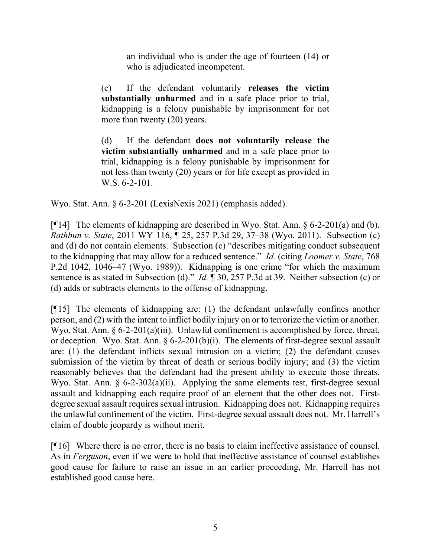an individual who is under the age of fourteen (14) or who is adjudicated incompetent.

(c) If the defendant voluntarily **releases the victim substantially unharmed** and in a safe place prior to trial, kidnapping is a felony punishable by imprisonment for not more than twenty (20) years.

(d) If the defendant **does not voluntarily release the victim substantially unharmed** and in a safe place prior to trial, kidnapping is a felony punishable by imprisonment for not less than twenty (20) years or for life except as provided in W.S. 6-2-101.

Wyo. Stat. Ann. § 6-2-201 (LexisNexis 2021) (emphasis added).

[¶14] The elements of kidnapping are described in Wyo. Stat. Ann. § 6-2-201(a) and (b). *Rathbun v. State*, 2011 WY 116, ¶ 25, 257 P.3d 29, 37–38 (Wyo. 2011). Subsection (c) and (d) do not contain elements. Subsection (c) "describes mitigating conduct subsequent to the kidnapping that may allow for a reduced sentence." *Id.* (citing *Loomer v. State*, 768 P.2d 1042, 1046–47 (Wyo. 1989)). Kidnapping is one crime "for which the maximum sentence is as stated in Subsection (d)." *Id.* ¶ 30, 257 P.3d at 39. Neither subsection (c) or (d) adds or subtracts elements to the offense of kidnapping.

[¶15] The elements of kidnapping are: (1) the defendant unlawfully confines another person, and (2) with the intent to inflict bodily injury on or to terrorize the victim or another. Wyo. Stat. Ann. § 6-2-201(a)(iii). Unlawful confinement is accomplished by force, threat, or deception. Wyo. Stat. Ann. § 6-2-201(b)(i). The elements of first-degree sexual assault are: (1) the defendant inflicts sexual intrusion on a victim; (2) the defendant causes submission of the victim by threat of death or serious bodily injury; and (3) the victim reasonably believes that the defendant had the present ability to execute those threats. Wyo. Stat. Ann. § 6-2-302(a)(ii). Applying the same elements test, first-degree sexual assault and kidnapping each require proof of an element that the other does not. Firstdegree sexual assault requires sexual intrusion. Kidnapping does not. Kidnapping requires the unlawful confinement of the victim. First-degree sexual assault does not. Mr. Harrell's claim of double jeopardy is without merit.

[¶16] Where there is no error, there is no basis to claim ineffective assistance of counsel. As in *Ferguson*, even if we were to hold that ineffective assistance of counsel establishes good cause for failure to raise an issue in an earlier proceeding, Mr. Harrell has not established good cause here.